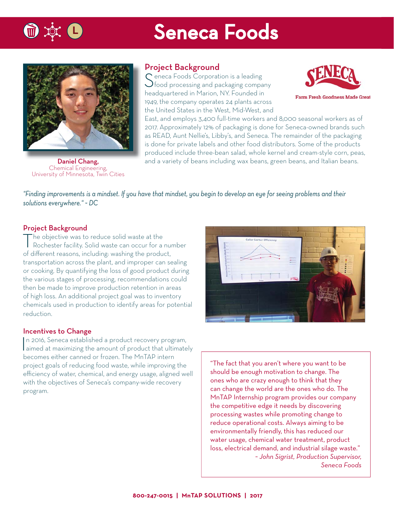

## **Seneca Foods**



Chemical Engineering, University of Minnesota, Twin Cities

### Project Background

Seneca Foods Corporation is a leading<br>
food processing and packaging company headquartered in Marion, NY. Founded in 1949, the company operates 24 plants across the United States in the West, Mid-West, and



**Farm Fresh Goodness Made Great** 

East, and employs 3,400 full-time workers and 8,000 seasonal workers as of 2017. Approximately 12% of packaging is done for Seneca-owned brands such as READ, Aunt Nellie's, Libby's, and Seneca. The remainder of the packaging is done for private labels and other food distributors. Some of the products produced include three-bean salad, whole kernel and cream-style corn, peas, **Daniel Chang,** and a variety of beans including wax beans, green beans, and Italian beans.

*"Finding improvements is a mindset. If you have that mindset, you begin to develop an eye for seeing problems and their solutions everywhere." ~ DC*

### Project Background

The objective was to reduce solid waste at the Rochester facility. Solid waste can occur for a number of different reasons, including: washing the product, transportation across the plant, and improper can sealing or cooking. By quantifying the loss of good product during the various stages of processing, recommendations could then be made to improve production retention in areas of high loss. An additional project goal was to inventory chemicals used in production to identify areas for potential reduction.

### Incentives to Change

In 2016, Seneca established a product recovery program,<br>aimed at maximizing the amount of product that ultimately n 2016, Seneca established a product recovery program, becomes either canned or frozen. The MnTAP intern project goals of reducing food waste, while improving the efficiency of water, chemical, and energy usage, aligned well with the objectives of Seneca's company-wide recovery program.



"The fact that you aren't where you want to be should be enough motivation to change. The ones who are crazy enough to think that they can change the world are the ones who do. The MnTAP Internship program provides our company the competitive edge it needs by discovering processing wastes while promoting change to reduce operational costs. Always aiming to be environmentally friendly, this has reduced our water usage, chemical water treatment, product loss, electrical demand, and industrial silage waste." *~ John Sigrist, Production Supervisor, Seneca Foods*